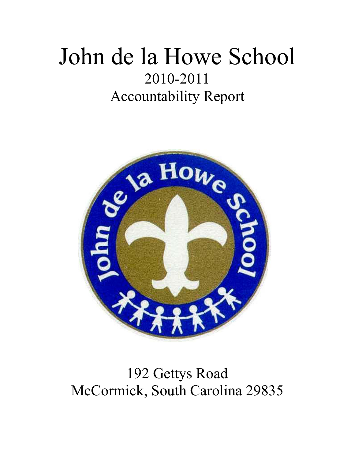# John de la Howe School 2010-2011 Accountability Report



## 192 Gettys Road McCormick, South Carolina 29835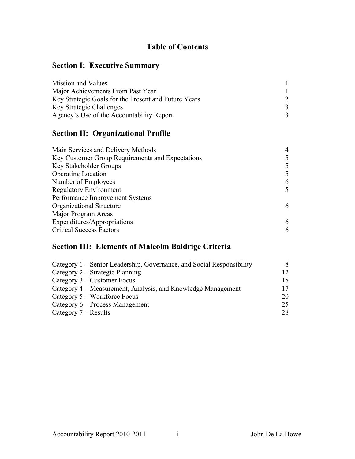## **Table of Contents**

## **Section I: Executive Summary**

| Mission and Values                                   |  |
|------------------------------------------------------|--|
| Major Achievements From Past Year                    |  |
| Key Strategic Goals for the Present and Future Years |  |
| <b>Key Strategic Challenges</b>                      |  |
| Agency's Use of the Accountability Report            |  |

## **Section II: Organizational Profile**

| Main Services and Delivery Methods               |   |
|--------------------------------------------------|---|
| Key Customer Group Requirements and Expectations |   |
| Key Stakeholder Groups                           |   |
| <b>Operating Location</b>                        |   |
| Number of Employees                              | 6 |
| <b>Regulatory Environment</b>                    | 5 |
| Performance Improvement Systems                  |   |
| Organizational Structure                         | 6 |
| Major Program Areas                              |   |
| Expenditures/Appropriations                      | 6 |
| <b>Critical Success Factors</b>                  | 6 |

## **Section III: Elements of Malcolm Baldrige Criteria**

| Category 1 – Senior Leadership, Governance, and Social Responsibility |     |
|-----------------------------------------------------------------------|-----|
| Category 2 – Strategic Planning                                       | 12. |
| Category $3$ – Customer Focus                                         |     |
| Category 4 – Measurement, Analysis, and Knowledge Management          |     |
| Category 5 – Workforce Focus                                          | 20  |
| Category 6 – Process Management                                       | 25  |
| Category $7 - Results$                                                | 28  |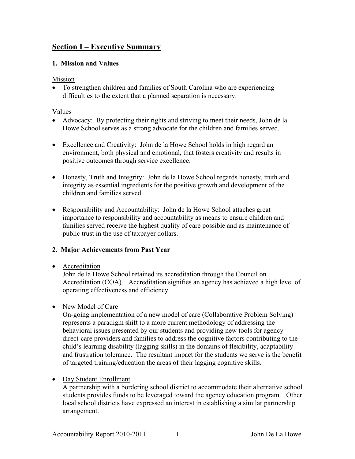## **Section I – Executive Summary**

#### **1. Mission and Values**

#### Mission

• To strengthen children and families of South Carolina who are experiencing difficulties to the extent that a planned separation is necessary.

#### Values

- Advocacy: By protecting their rights and striving to meet their needs, John de la Howe School serves as a strong advocate for the children and families served.
- Excellence and Creativity: John de la Howe School holds in high regard an environment, both physical and emotional, that fosters creativity and results in positive outcomes through service excellence.
- Honesty, Truth and Integrity: John de la Howe School regards honesty, truth and integrity as essential ingredients for the positive growth and development of the children and families served.
- Responsibility and Accountability: John de la Howe School attaches great importance to responsibility and accountability as means to ensure children and families served receive the highest quality of care possible and as maintenance of public trust in the use of taxpayer dollars.

#### **2. Major Achievements from Past Year**

#### • Accreditation

John de la Howe School retained its accreditation through the Council on Accreditation (COA). Accreditation signifies an agency has achieved a high level of operating effectiveness and efficiency.

#### • New Model of Care

On-going implementation of a new model of care (Collaborative Problem Solving) represents a paradigm shift to a more current methodology of addressing the behavioral issues presented by our students and providing new tools for agency direct-care providers and families to address the cognitive factors contributing to the child's learning disability (lagging skills) in the domains of flexibility, adaptability and frustration tolerance. The resultant impact for the students we serve is the benefit of targeted training/education the areas of their lagging cognitive skills.

#### • Day Student Enrollment

A partnership with a bordering school district to accommodate their alternative school students provides funds to be leveraged toward the agency education program. Other local school districts have expressed an interest in establishing a similar partnership arrangement.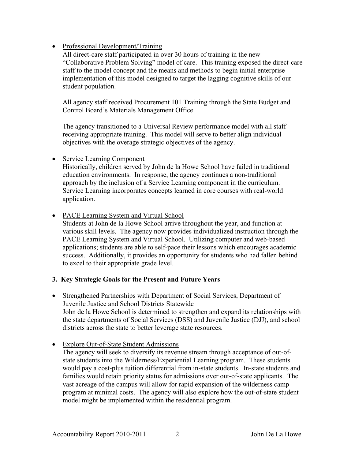#### • Professional Development/Training

All direct-care staff participated in over 30 hours of training in the new "Collaborative Problem Solving" model of care. This training exposed the direct-care staff to the model concept and the means and methods to begin initial enterprise implementation of this model designed to target the lagging cognitive skills of our student population.

All agency staff received Procurement 101 Training through the State Budget and Control Board's Materials Management Office.

The agency transitioned to a Universal Review performance model with all staff receiving appropriate training. This model will serve to better align individual objectives with the overage strategic objectives of the agency.

• Service Learning Component

Historically, children served by John de la Howe School have failed in traditional education environments. In response, the agency continues a non-traditional approach by the inclusion of a Service Learning component in the curriculum. Service Learning incorporates concepts learned in core courses with real-world application.

#### • PACE Learning System and Virtual School

Students at John de la Howe School arrive throughout the year, and function at various skill levels. The agency now provides individualized instruction through the PACE Learning System and Virtual School. Utilizing computer and web-based applications; students are able to self-pace their lessons which encourages academic success. Additionally, it provides an opportunity for students who had fallen behind to excel to their appropriate grade level.

#### **3. Key Strategic Goals for the Present and Future Years**

- Strengthened Partnerships with Department of Social Services, Department of Juvenile Justice and School Districts Statewide John de la Howe School is determined to strengthen and expand its relationships with the state departments of Social Services (DSS) and Juvenile Justice (DJJ), and school districts across the state to better leverage state resources.
- Explore Out-of-State Student Admissions

The agency will seek to diversify its revenue stream through acceptance of out-ofstate students into the Wilderness/Experiential Learning program. These students would pay a cost-plus tuition differential from in-state students. In-state students and families would retain priority status for admissions over out-of-state applicants. The vast acreage of the campus will allow for rapid expansion of the wilderness camp program at minimal costs. The agency will also explore how the out-of-state student model might be implemented within the residential program.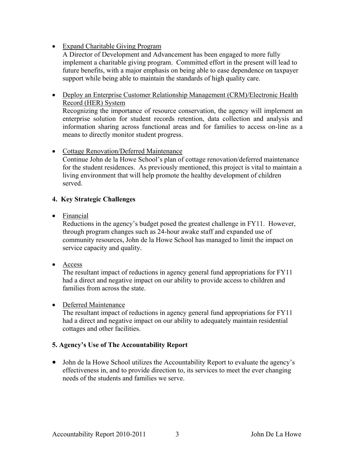#### • Expand Charitable Giving Program

A Director of Development and Advancement has been engaged to more fully implement a charitable giving program. Committed effort in the present will lead to future benefits, with a major emphasis on being able to ease dependence on taxpayer support while being able to maintain the standards of high quality care.

• Deploy an Enterprise Customer Relationship Management (CRM)/Electronic Health Record (HER) System Recognizing the importance of resource conservation, the agency will implement an enterprise solution for student records retention, data collection and analysis and information sharing across functional areas and for families to access on-line as a means to directly monitor student progress.

#### • Cottage Renovation/Deferred Maintenance

Continue John de la Howe School's plan of cottage renovation/deferred maintenance for the student residences. As previously mentioned, this project is vital to maintain a living environment that will help promote the healthy development of children served.

#### **4. Key Strategic Challenges**

• Financial

Reductions in the agency's budget posed the greatest challenge in FY11. However, through program changes such as 24-hour awake staff and expanded use of community resources, John de la Howe School has managed to limit the impact on service capacity and quality.

• Access

The resultant impact of reductions in agency general fund appropriations for FY11 had a direct and negative impact on our ability to provide access to children and families from across the state.

#### • Deferred Maintenance

The resultant impact of reductions in agency general fund appropriations for FY11 had a direct and negative impact on our ability to adequately maintain residential cottages and other facilities.

#### **5. Agency's Use of The Accountability Report**

• John de la Howe School utilizes the Accountability Report to evaluate the agency's effectiveness in, and to provide direction to, its services to meet the ever changing needs of the students and families we serve.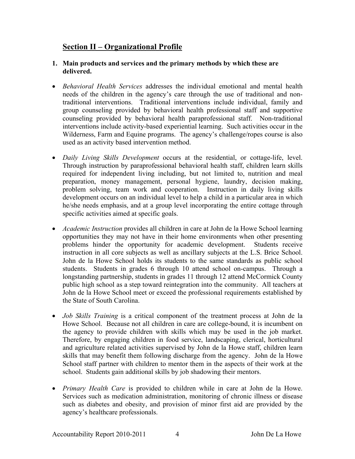## **Section II – Organizational Profile**

#### **1. Main products and services and the primary methods by which these are delivered.**

- *Behavioral Health Services* addresses the individual emotional and mental health needs of the children in the agency's care through the use of traditional and nontraditional interventions. Traditional interventions include individual, family and group counseling provided by behavioral health professional staff and supportive counseling provided by behavioral health paraprofessional staff. Non-traditional interventions include activity-based experiential learning. Such activities occur in the Wilderness, Farm and Equine programs. The agency's challenge/ropes course is also used as an activity based intervention method.
- *Daily Living Skills Development* occurs at the residential, or cottage-life, level. Through instruction by paraprofessional behavioral health staff, children learn skills required for independent living including, but not limited to, nutrition and meal preparation, money management, personal hygiene, laundry, decision making, problem solving, team work and cooperation. Instruction in daily living skills development occurs on an individual level to help a child in a particular area in which he/she needs emphasis, and at a group level incorporating the entire cottage through specific activities aimed at specific goals.
- *Academic Instruction* provides all children in care at John de la Howe School learning opportunities they may not have in their home environments when other presenting problems hinder the opportunity for academic development. Students receive instruction in all core subjects as well as ancillary subjects at the L.S. Brice School. John de la Howe School holds its students to the same standards as public school students. Students in grades 6 through 10 attend school on-campus. Through a longstanding partnership, students in grades 11 through 12 attend McCormick County public high school as a step toward reintegration into the community. All teachers at John de la Howe School meet or exceed the professional requirements established by the State of South Carolina.
- *Job Skills Training* is a critical component of the treatment process at John de la Howe School. Because not all children in care are college-bound, it is incumbent on the agency to provide children with skills which may be used in the job market. Therefore, by engaging children in food service, landscaping, clerical, horticultural and agriculture related activities supervised by John de la Howe staff, children learn skills that may benefit them following discharge from the agency. John de la Howe School staff partner with children to mentor them in the aspects of their work at the school. Students gain additional skills by job shadowing their mentors.
- *Primary Health Care* is provided to children while in care at John de la Howe. Services such as medication administration, monitoring of chronic illness or disease such as diabetes and obesity, and provision of minor first aid are provided by the agency's healthcare professionals.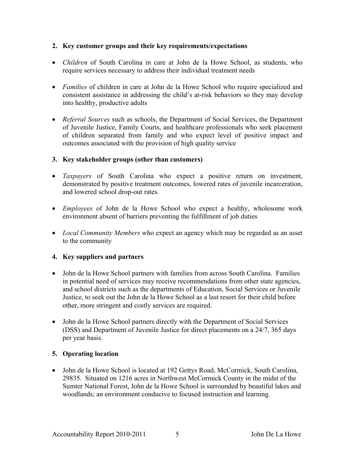#### **2. Key customer groups and their key requirements/expectations**

- *Children* of South Carolina in care at John de la Howe School, as students, who require services necessary to address their individual treatment needs
- *Families* of children in care at John de la Howe School who require specialized and consistent assistance in addressing the child's at-risk behaviors so they may develop into healthy, productive adults
- *Referral Sources* such as schools, the Department of Social Services, the Department of Juvenile Justice, Family Courts, and healthcare professionals who seek placement of children separated from family and who expect level of positive impact and outcomes associated with the provision of high quality service

#### **3. Key stakeholder groups (other than customers)**

- *Taxpayers* of South Carolina who expect a positive return on investment, demonstrated by positive treatment outcomes, lowered rates of juvenile incarceration, and lowered school drop-out rates.
- *Employees* of John de la Howe School who expect a healthy, wholesome work environment absent of barriers preventing the fulfillment of job duties
- *Local Community Members* who expect an agency which may be regarded as an asset to the community

#### **4. Key suppliers and partners**

- John de la Howe School partners with families from across South Carolina. Families in potential need of services may receive recommendations from other state agencies, and school districts such as the departments of Education, Social Services or Juvenile Justice, to seek out the John de la Howe School as a last resort for their child before other, more stringent and costly services are required.
- John de la Howe School partners directly with the Department of Social Services (DSS) and Department of Juvenile Justice for direct placements on a 24/7, 365 days per year basis.

#### **5. Operating location**

• John de la Howe School is located at 192 Gettys Road, McCormick, South Carolina, 29835. Situated on 1216 acres in Northwest McCormick County in the midst of the Sumter National Forest, John de la Howe School is surrounded by beautiful lakes and woodlands; an environment conducive to focused instruction and learning.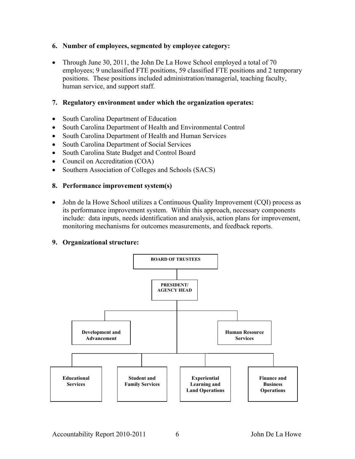#### **6. Number of employees, segmented by employee category:**

• Through June 30, 2011, the John De La Howe School employed a total of 70 employees; 9 unclassified FTE positions, 59 classified FTE positions and 2 temporary positions. These positions included administration/managerial, teaching faculty, human service, and support staff.

#### **7. Regulatory environment under which the organization operates:**

- South Carolina Department of Education
- South Carolina Department of Health and Environmental Control
- South Carolina Department of Health and Human Services
- South Carolina Department of Social Services
- South Carolina State Budget and Control Board
- Council on Accreditation (COA)
- Southern Association of Colleges and Schools (SACS)

#### **8. Performance improvement system(s)**

• John de la Howe School utilizes a Continuous Quality Improvement (CQI) process as its performance improvement system. Within this approach, necessary components include: data inputs, needs identification and analysis, action plans for improvement, monitoring mechanisms for outcomes measurements, and feedback reports.

#### **9. Organizational structure:**

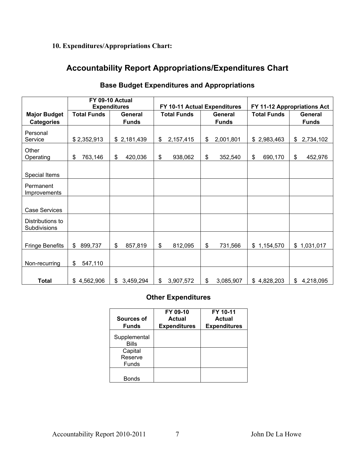## **10. Expenditures/Appropriations Chart:**

## **Accountability Report Appropriations/Expenditures Chart**

|                                  |                           | FY 09-10 Actual     |                                      |                              |                             |                 |  |
|----------------------------------|---------------------------|---------------------|--------------------------------------|------------------------------|-----------------------------|-----------------|--|
|                                  |                           | <b>Expenditures</b> |                                      | FY 10-11 Actual Expenditures | FY 11-12 Appropriations Act |                 |  |
| <b>Major Budget</b>              | <b>Total Funds</b>        | <b>General</b>      | <b>Total Funds</b><br><b>General</b> |                              | <b>Total Funds</b>          | <b>General</b>  |  |
| <b>Categories</b>                |                           | <b>Funds</b>        |                                      | <b>Funds</b>                 |                             | <b>Funds</b>    |  |
| Personal<br>Service              | \$2,352,913               | \$2,181,439         | \$<br>2,157,415                      | 2,001,801<br>\$              | \$2,983,463                 | 2,734,102<br>\$ |  |
| Other<br>Operating               | 763,146<br>\$             | \$<br>420,036       | \$<br>938,062                        | \$<br>352,540                | \$<br>690,170               | 452,976<br>\$   |  |
| Special Items                    |                           |                     |                                      |                              |                             |                 |  |
| Permanent<br>Improvements        |                           |                     |                                      |                              |                             |                 |  |
| <b>Case Services</b>             |                           |                     |                                      |                              |                             |                 |  |
| Distributions to<br>Subdivisions |                           |                     |                                      |                              |                             |                 |  |
| <b>Fringe Benefits</b>           | $\mathfrak{L}$<br>899,737 | \$<br>857,819       | \$<br>812,095                        | \$<br>731,566                | \$1,154,570                 | \$1,031,017     |  |
| Non-recurring                    | \$<br>547,110             |                     |                                      |                              |                             |                 |  |
| <b>Total</b>                     | \$4,562,906               | \$3,459,294         | $\mathfrak{S}$<br>3,907,572          | \$<br>3,085,907              | \$4,828,203                 | \$4,218,095     |  |

#### **Base Budget Expenditures and Appropriations**

#### **Other Expenditures**

| Sources of<br><b>Funds</b> | FY 09-10<br><b>Actual</b><br><b>Expenditures</b> | FY 10-11<br><b>Actual</b><br><b>Expenditures</b> |
|----------------------------|--------------------------------------------------|--------------------------------------------------|
| Supplemental<br>Bills      |                                                  |                                                  |
| Capital                    |                                                  |                                                  |
| Reserve                    |                                                  |                                                  |
| Funds                      |                                                  |                                                  |
| Bonds                      |                                                  |                                                  |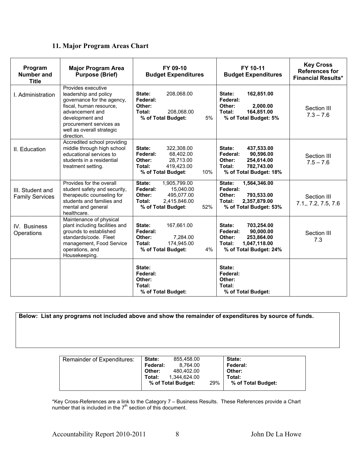| 11. Major Program Areas Chart |  |  |  |
|-------------------------------|--|--|--|
|-------------------------------|--|--|--|

| Program<br><b>Number and</b><br><b>Title</b> | <b>Major Program Area</b><br><b>Purpose (Brief)</b>                                                                                                                                                              | FY 09-10<br>FY 10-11<br><b>Budget Expenditures</b><br><b>Budget Expenditures</b>                                               |                                                                                                                           | <b>Key Cross</b><br><b>References for</b><br><b>Financial Results*</b> |
|----------------------------------------------|------------------------------------------------------------------------------------------------------------------------------------------------------------------------------------------------------------------|--------------------------------------------------------------------------------------------------------------------------------|---------------------------------------------------------------------------------------------------------------------------|------------------------------------------------------------------------|
| I. Administration                            | Provides executive<br>leadership and policy<br>governance for the agency,<br>fiscal, human resource,<br>advancement and<br>development and<br>procurement services as<br>well as overall strategic<br>direction. | 208,068.00<br>State:<br>Federal:<br>Other:<br>Total:<br>208,068.00<br>5%<br>% of Total Budget:                                 | State:<br>162,851.00<br>Federal:<br>Other:<br>2,000.00<br>Total:<br>164,851.00<br>% of Total Budget: 5%                   | Section III<br>$7.3 - 7.6$                                             |
| II. Education                                | Accredited school providing<br>middle through high school<br>educational services to<br>students in a residential<br>treatment setting.                                                                          | State:<br>322,308.00<br>Federal:<br>68,402.00<br>Other:<br>28,713.00<br>Total:<br>419,423.00<br>% of Total Budget:<br>10%      | State:<br>437,533.00<br>Federal:<br>90,596.00<br>Other:<br>254,614.00<br>Total:<br>782,743.00<br>% of Total Budget: 18%   | Section III<br>$7.5 - 7.6$                                             |
| III. Student and<br><b>Family Services</b>   | Provides for the overall<br>student safety and security,<br>therapeutic counseling for<br>students and families and<br>mental and general<br>healthcare.                                                         | State:<br>1,905,799.00<br>Federal:<br>15,040.00<br>Other:<br>495,077.00<br>Total:<br>2.415.846.00<br>52%<br>% of Total Budget: | State:<br>1,564,346.00<br>Federal:<br>Other:<br>793,533.00<br>Total:<br>2,357,879.00<br>% of Total Budget: 53%            | Section III<br>7.1,, 7.2, 7.5, 7.6                                     |
| IV. Business<br>Operations                   | Maintenance of physical<br>plant including facilities and<br>grounds to established<br>standards/code. Fleet<br>management, Food Service<br>operations, and<br>Housekeeping.                                     | State:<br>167,661.00<br>Federal:<br>7,284.00<br>Other:<br>174,945.00<br>Total:<br>% of Total Budget:<br>4%                     | State:<br>703,254.00<br>90,000.00<br>Federal:<br>Other:<br>253,864.00<br>Total:<br>1,047,118.00<br>% of Total Budget: 24% | Section III<br>7.3                                                     |
|                                              |                                                                                                                                                                                                                  | State:<br>Federal:<br>Other:<br>Total:<br>% of Total Budget:                                                                   | State:<br>Federal:<br>Other:<br>Total:<br>% of Total Budget:                                                              |                                                                        |

**Below: List any programs not included above and show the remainder of expenditures by source of funds.** 

| <b>Remainder of Expenditures:</b> | <b>State:</b>   | 855.458.00         |     | State:             |
|-----------------------------------|-----------------|--------------------|-----|--------------------|
|                                   | <b>Federal:</b> | 8.764.00           |     | <b>Federal:</b>    |
|                                   | Other:          | 480.402.00         |     | Other:             |
|                                   | Total:          | 1,344,624.00       |     | Total:             |
|                                   |                 | % of Total Budget: | 29% | % of Total Budget: |
|                                   |                 |                    |     |                    |

\*Key Cross-References are a link to the Category 7 – Business Results. These References provide a Chart number that is included in the  $7<sup>th</sup>$  section of this document.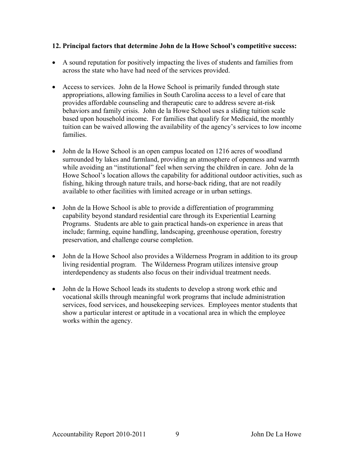#### **12. Principal factors that determine John de la Howe School's competitive success:**

- A sound reputation for positively impacting the lives of students and families from across the state who have had need of the services provided.
- Access to services. John de la Howe School is primarily funded through state appropriations, allowing families in South Carolina access to a level of care that provides affordable counseling and therapeutic care to address severe at-risk behaviors and family crisis. John de la Howe School uses a sliding tuition scale based upon household income. For families that qualify for Medicaid, the monthly tuition can be waived allowing the availability of the agency's services to low income families.
- John de la Howe School is an open campus located on 1216 acres of woodland surrounded by lakes and farmland, providing an atmosphere of openness and warmth while avoiding an "institutional" feel when serving the children in care. John de la Howe School's location allows the capability for additional outdoor activities, such as fishing, hiking through nature trails, and horse-back riding, that are not readily available to other facilities with limited acreage or in urban settings.
- John de la Howe School is able to provide a differentiation of programming capability beyond standard residential care through its Experiential Learning Programs. Students are able to gain practical hands-on experience in areas that include; farming, equine handling, landscaping, greenhouse operation, forestry preservation, and challenge course completion.
- John de la Howe School also provides a Wilderness Program in addition to its group living residential program. The Wilderness Program utilizes intensive group interdependency as students also focus on their individual treatment needs.
- John de la Howe School leads its students to develop a strong work ethic and vocational skills through meaningful work programs that include administration services, food services, and housekeeping services. Employees mentor students that show a particular interest or aptitude in a vocational area in which the employee works within the agency.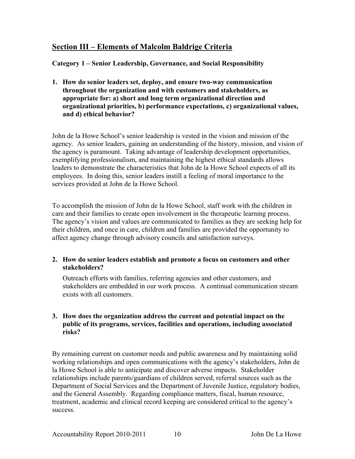## **Section III – Elements of Malcolm Baldrige Criteria**

#### **Category 1 – Senior Leadership, Governance, and Social Responsibility**

**1. How do senior leaders set, deploy, and ensure two-way communication throughout the organization and with customers and stakeholders, as appropriate for: a) short and long term organizational direction and organizational priorities, b) performance expectations, c) organizational values, and d) ethical behavior?** 

John de la Howe School's senior leadership is vested in the vision and mission of the agency. As senior leaders, gaining an understanding of the history, mission, and vision of the agency is paramount. Taking advantage of leadership development opportunities, exemplifying professionalism, and maintaining the highest ethical standards allows leaders to demonstrate the characteristics that John de la Howe School expects of all its employees. In doing this, senior leaders instill a feeling of moral importance to the services provided at John de la Howe School.

To accomplish the mission of John de la Howe School, staff work with the children in care and their families to create open involvement in the therapeutic learning process. The agency's vision and values are communicated to families as they are seeking help for their children, and once in care, children and families are provided the opportunity to affect agency change through advisory councils and satisfaction surveys.

#### **2. How do senior leaders establish and promote a focus on customers and other stakeholders?**

Outreach efforts with families, referring agencies and other customers, and stakeholders are embedded in our work process. A continual communication stream exists with all customers.

#### **3. How does the organization address the current and potential impact on the public of its programs, services, facilities and operations, including associated risks?**

By remaining current on customer needs and public awareness and by maintaining solid working relationships and open communications with the agency's stakeholders, John de la Howe School is able to anticipate and discover adverse impacts. Stakeholder relationships include parents/guardians of children served, referral sources such as the Department of Social Services and the Department of Juvenile Justice, regulatory bodies, and the General Assembly. Regarding compliance matters, fiscal, human resource, treatment, academic and clinical record keeping are considered critical to the agency's success.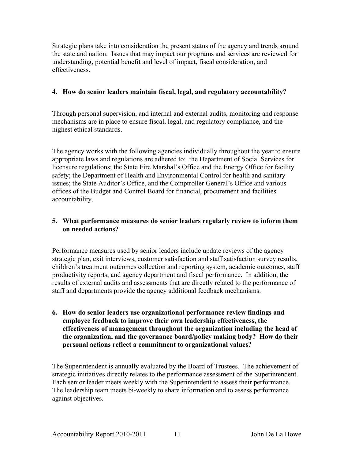Strategic plans take into consideration the present status of the agency and trends around the state and nation. Issues that may impact our programs and services are reviewed for understanding, potential benefit and level of impact, fiscal consideration, and effectiveness.

#### **4. How do senior leaders maintain fiscal, legal, and regulatory accountability?**

Through personal supervision, and internal and external audits, monitoring and response mechanisms are in place to ensure fiscal, legal, and regulatory compliance, and the highest ethical standards.

The agency works with the following agencies individually throughout the year to ensure appropriate laws and regulations are adhered to: the Department of Social Services for licensure regulations; the State Fire Marshal's Office and the Energy Office for facility safety; the Department of Health and Environmental Control for health and sanitary issues; the State Auditor's Office, and the Comptroller General's Office and various offices of the Budget and Control Board for financial, procurement and facilities accountability.

#### **5. What performance measures do senior leaders regularly review to inform them on needed actions?**

Performance measures used by senior leaders include update reviews of the agency strategic plan, exit interviews, customer satisfaction and staff satisfaction survey results, children's treatment outcomes collection and reporting system, academic outcomes, staff productivity reports, and agency department and fiscal performance. In addition, the results of external audits and assessments that are directly related to the performance of staff and departments provide the agency additional feedback mechanisms.

**6. How do senior leaders use organizational performance review findings and employee feedback to improve their own leadership effectiveness, the effectiveness of management throughout the organization including the head of the organization, and the governance board/policy making body? How do their personal actions reflect a commitment to organizational values?** 

The Superintendent is annually evaluated by the Board of Trustees. The achievement of strategic initiatives directly relates to the performance assessment of the Superintendent. Each senior leader meets weekly with the Superintendent to assess their performance. The leadership team meets bi-weekly to share information and to assess performance against objectives.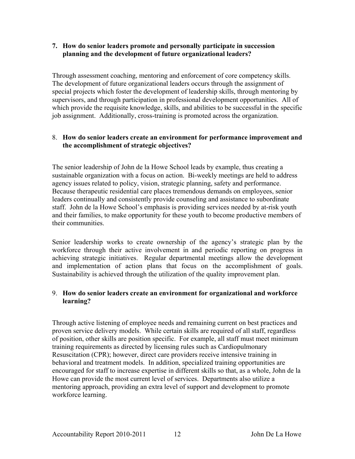#### **7. How do senior leaders promote and personally participate in succession planning and the development of future organizational leaders?**

Through assessment coaching, mentoring and enforcement of core competency skills. The development of future organizational leaders occurs through the assignment of special projects which foster the development of leadership skills, through mentoring by supervisors, and through participation in professional development opportunities. All of which provide the requisite knowledge, skills, and abilities to be successful in the specific job assignment. Additionally, cross-training is promoted across the organization.

#### 8. **How do senior leaders create an environment for performance improvement and the accomplishment of strategic objectives?**

The senior leadership of John de la Howe School leads by example, thus creating a sustainable organization with a focus on action. Bi-weekly meetings are held to address agency issues related to policy, vision, strategic planning, safety and performance. Because therapeutic residential care places tremendous demands on employees, senior leaders continually and consistently provide counseling and assistance to subordinate staff. John de la Howe School's emphasis is providing services needed by at-risk youth and their families, to make opportunity for these youth to become productive members of their communities.

Senior leadership works to create ownership of the agency's strategic plan by the workforce through their active involvement in and periodic reporting on progress in achieving strategic initiatives. Regular departmental meetings allow the development and implementation of action plans that focus on the accomplishment of goals. Sustainability is achieved through the utilization of the quality improvement plan.

#### 9. **How do senior leaders create an environment for organizational and workforce learning?**

Through active listening of employee needs and remaining current on best practices and proven service delivery models. While certain skills are required of all staff, regardless of position, other skills are position specific. For example, all staff must meet minimum training requirements as directed by licensing rules such as Cardiopulmonary Resuscitation (CPR); however, direct care providers receive intensive training in behavioral and treatment models. In addition, specialized training opportunities are encouraged for staff to increase expertise in different skills so that, as a whole, John de la Howe can provide the most current level of services. Departments also utilize a mentoring approach, providing an extra level of support and development to promote workforce learning.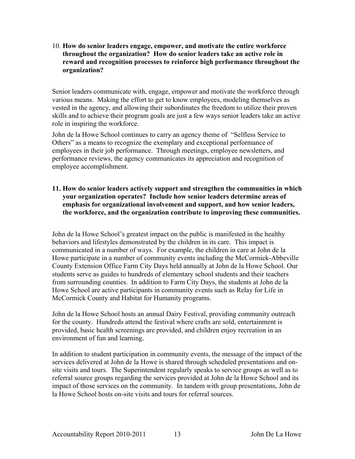10. **How do senior leaders engage, empower, and motivate the entire workforce throughout the organization? How do senior leaders take an active role in reward and recognition processes to reinforce high performance throughout the organization?**

Senior leaders communicate with, engage, empower and motivate the workforce through various means. Making the effort to get to know employees, modeling themselves as vested in the agency, and allowing their subordinates the freedom to utilize their proven skills and to achieve their program goals are just a few ways senior leaders take an active role in inspiring the workforce.

John de la Howe School continues to carry an agency theme of "Selfless Service to Others" as a means to recognize the exemplary and exceptional performance of employees in their job performance. Through meetings, employee newsletters, and performance reviews, the agency communicates its appreciation and recognition of employee accomplishment.

**11. How do senior leaders actively support and strengthen the communities in which your organization operates? Include how senior leaders determine areas of emphasis for organizational involvement and support, and how senior leaders, the workforce, and the organization contribute to improving these communities.** 

John de la Howe School's greatest impact on the public is manifested in the healthy behaviors and lifestyles demonstrated by the children in its care. This impact is communicated in a number of ways. For example, the children in care at John de la Howe participate in a number of community events including the McCormick-Abbeville County Extension Office Farm City Days held annually at John de la Howe School. Our students serve as guides to hundreds of elementary school students and their teachers from surrounding counties. In addition to Farm City Days, the students at John de la Howe School are active participants in community events such as Relay for Life in McCormick County and Habitat for Humanity programs.

John de la Howe School hosts an annual Dairy Festival, providing community outreach for the county. Hundreds attend the festival where crafts are sold, entertainment is provided, basic health screenings are provided, and children enjoy recreation in an environment of fun and learning.

In addition to student participation in community events, the message of the impact of the services delivered at John de la Howe is shared through scheduled presentations and onsite visits and tours. The Superintendent regularly speaks to service groups as well as to referral source groups regarding the services provided at John de la Howe School and its impact of those services on the community. In tandem with group presentations, John de la Howe School hosts on-site visits and tours for referral sources.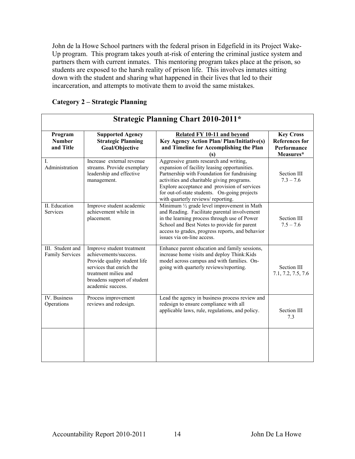John de la Howe School partners with the federal prison in Edgefield in its Project Wake-Up program. This program takes youth at-risk of entering the criminal justice system and partners them with current inmates. This mentoring program takes place at the prison, so students are exposed to the harsh reality of prison life. This involves inmates sitting down with the student and sharing what happened in their lives that led to their incarceration, and attempts to motivate them to avoid the same mistakes.

| <b>Strategic Planning Chart 2010-2011*</b> |                                                                                                                                                                                            |                                                                                                                                                                                                                                                                                                                           |                                                                       |  |
|--------------------------------------------|--------------------------------------------------------------------------------------------------------------------------------------------------------------------------------------------|---------------------------------------------------------------------------------------------------------------------------------------------------------------------------------------------------------------------------------------------------------------------------------------------------------------------------|-----------------------------------------------------------------------|--|
| Program<br><b>Number</b><br>and Title      | <b>Supported Agency</b><br><b>Strategic Planning</b><br>Goal/Objective                                                                                                                     | Related FY 10-11 and beyond<br><b>Key Agency Action Plan/Plan/Initiative(s)</b><br>and Timeline for Accomplishing the Plan<br>(s)                                                                                                                                                                                         | <b>Key Cross</b><br><b>References</b> for<br>Performance<br>Measures* |  |
| I.<br>Administration                       | Increase external revenue<br>streams. Provide exemplary<br>leadership and effective<br>management.                                                                                         | Aggressive grants research and writing,<br>expansion of facility leasing opportunities.<br>Partnership with Foundation for fundraising<br>activities and charitable giving programs.<br>Explore acceptance and provision of services<br>for out-of-state students. On-going projects<br>with quarterly reviews/reporting. | Section III<br>$7.3 - 7.6$                                            |  |
| II. Education<br>Services                  | Improve student academic<br>achievement while in<br>placement.                                                                                                                             | Minimum $\frac{1}{2}$ grade level improvement in Math<br>and Reading. Facilitate parental involvement<br>in the learning process through use of Power<br>School and Best Notes to provide for parent<br>access to grades, progress reports, and behavior<br>issues via on-line access.                                    | Section III<br>$7.5 - 7.6$                                            |  |
| III. Student and<br><b>Family Services</b> | Improve student treatment<br>achievements/success.<br>Provide quality student life<br>services that enrich the<br>treatment milieu and<br>broadens support of student<br>academic success. | Enhance parent education and family sessions,<br>increase home visits and deploy Think: Kids<br>model across campus and with families. On-<br>going with quarterly reviews/reporting.                                                                                                                                     | Section III<br>7.1, 7.2, 7.5, 7.6                                     |  |
| <b>IV.</b> Business<br>Operations          | Process improvement<br>reviews and redesign.                                                                                                                                               | Lead the agency in business process review and<br>redesign to ensure compliance with all<br>applicable laws, rule, regulations, and policy.                                                                                                                                                                               | Section III<br>7.3                                                    |  |
|                                            |                                                                                                                                                                                            |                                                                                                                                                                                                                                                                                                                           |                                                                       |  |

#### **Category 2 – Strategic Planning**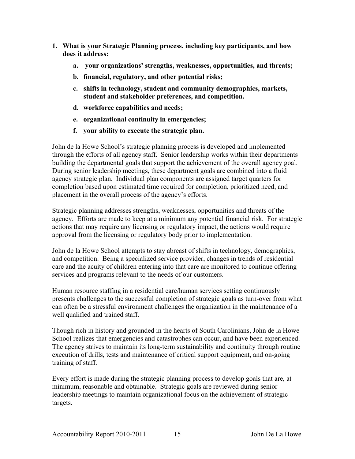- **1. What is your Strategic Planning process, including key participants, and how does it address:** 
	- **a. your organizations' strengths, weaknesses, opportunities, and threats;**
	- **b. financial, regulatory, and other potential risks;**
	- **c. shifts in technology, student and community demographics, markets, student and stakeholder preferences, and competition.**
	- **d. workforce capabilities and needs;**
	- **e. organizational continuity in emergencies;**
	- **f. your ability to execute the strategic plan.**

John de la Howe School's strategic planning process is developed and implemented through the efforts of all agency staff. Senior leadership works within their departments building the departmental goals that support the achievement of the overall agency goal. During senior leadership meetings, these department goals are combined into a fluid agency strategic plan. Individual plan components are assigned target quarters for completion based upon estimated time required for completion, prioritized need, and placement in the overall process of the agency's efforts.

Strategic planning addresses strengths, weaknesses, opportunities and threats of the agency. Efforts are made to keep at a minimum any potential financial risk. For strategic actions that may require any licensing or regulatory impact, the actions would require approval from the licensing or regulatory body prior to implementation.

John de la Howe School attempts to stay abreast of shifts in technology, demographics, and competition. Being a specialized service provider, changes in trends of residential care and the acuity of children entering into that care are monitored to continue offering services and programs relevant to the needs of our customers.

Human resource staffing in a residential care/human services setting continuously presents challenges to the successful completion of strategic goals as turn-over from what can often be a stressful environment challenges the organization in the maintenance of a well qualified and trained staff.

Though rich in history and grounded in the hearts of South Carolinians, John de la Howe School realizes that emergencies and catastrophes can occur, and have been experienced. The agency strives to maintain its long-term sustainability and continuity through routine execution of drills, tests and maintenance of critical support equipment, and on-going training of staff.

Every effort is made during the strategic planning process to develop goals that are, at minimum, reasonable and obtainable. Strategic goals are reviewed during senior leadership meetings to maintain organizational focus on the achievement of strategic targets.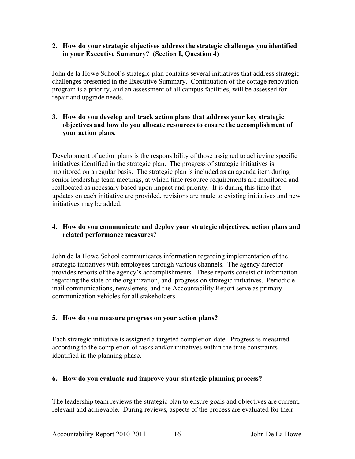#### **2. How do your strategic objectives address the strategic challenges you identified in your Executive Summary? (Section I, Question 4)**

John de la Howe School's strategic plan contains several initiatives that address strategic challenges presented in the Executive Summary. Continuation of the cottage renovation program is a priority, and an assessment of all campus facilities, will be assessed for repair and upgrade needs.

#### **3. How do you develop and track action plans that address your key strategic objectives and how do you allocate resources to ensure the accomplishment of your action plans.**

Development of action plans is the responsibility of those assigned to achieving specific initiatives identified in the strategic plan. The progress of strategic initiatives is monitored on a regular basis. The strategic plan is included as an agenda item during senior leadership team meetings, at which time resource requirements are monitored and reallocated as necessary based upon impact and priority. It is during this time that updates on each initiative are provided, revisions are made to existing initiatives and new initiatives may be added.

#### **4. How do you communicate and deploy your strategic objectives, action plans and related performance measures?**

John de la Howe School communicates information regarding implementation of the strategic initiatives with employees through various channels. The agency director provides reports of the agency's accomplishments. These reports consist of information regarding the state of the organization, and progress on strategic initiatives. Periodic email communications, newsletters, and the Accountability Report serve as primary communication vehicles for all stakeholders.

#### **5. How do you measure progress on your action plans?**

Each strategic initiative is assigned a targeted completion date. Progress is measured according to the completion of tasks and/or initiatives within the time constraints identified in the planning phase.

#### **6. How do you evaluate and improve your strategic planning process?**

The leadership team reviews the strategic plan to ensure goals and objectives are current, relevant and achievable. During reviews, aspects of the process are evaluated for their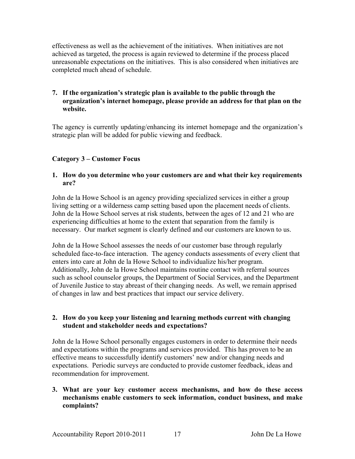effectiveness as well as the achievement of the initiatives. When initiatives are not achieved as targeted, the process is again reviewed to determine if the process placed unreasonable expectations on the initiatives. This is also considered when initiatives are completed much ahead of schedule.

#### **7. If the organization's strategic plan is available to the public through the organization's internet homepage, please provide an address for that plan on the website.**

The agency is currently updating/enhancing its internet homepage and the organization's strategic plan will be added for public viewing and feedback.

#### **Category 3 – Customer Focus**

#### **1. How do you determine who your customers are and what their key requirements are?**

John de la Howe School is an agency providing specialized services in either a group living setting or a wilderness camp setting based upon the placement needs of clients. John de la Howe School serves at risk students, between the ages of 12 and 21 who are experiencing difficulties at home to the extent that separation from the family is necessary. Our market segment is clearly defined and our customers are known to us.

John de la Howe School assesses the needs of our customer base through regularly scheduled face-to-face interaction. The agency conducts assessments of every client that enters into care at John de la Howe School to individualize his/her program. Additionally, John de la Howe School maintains routine contact with referral sources such as school counselor groups, the Department of Social Services, and the Department of Juvenile Justice to stay abreast of their changing needs. As well, we remain apprised of changes in law and best practices that impact our service delivery.

#### **2. How do you keep your listening and learning methods current with changing student and stakeholder needs and expectations?**

John de la Howe School personally engages customers in order to determine their needs and expectations within the programs and services provided. This has proven to be an effective means to successfully identify customers' new and/or changing needs and expectations. Periodic surveys are conducted to provide customer feedback, ideas and recommendation for improvement.

#### **3. What are your key customer access mechanisms, and how do these access mechanisms enable customers to seek information, conduct business, and make complaints?**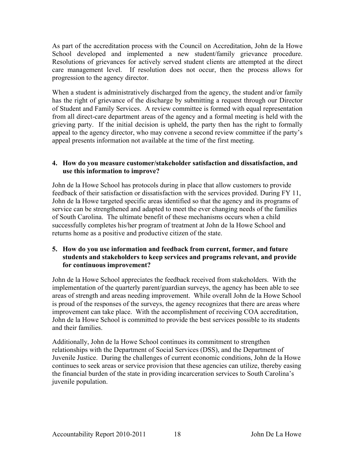As part of the accreditation process with the Council on Accreditation, John de la Howe School developed and implemented a new student/family grievance procedure. Resolutions of grievances for actively served student clients are attempted at the direct care management level. If resolution does not occur, then the process allows for progression to the agency director.

When a student is administratively discharged from the agency, the student and/or family has the right of grievance of the discharge by submitting a request through our Director of Student and Family Services. A review committee is formed with equal representation from all direct-care department areas of the agency and a formal meeting is held with the grieving party. If the initial decision is upheld, the party then has the right to formally appeal to the agency director, who may convene a second review committee if the party's appeal presents information not available at the time of the first meeting.

#### **4. How do you measure customer/stakeholder satisfaction and dissatisfaction, and use this information to improve?**

John de la Howe School has protocols during in place that allow customers to provide feedback of their satisfaction or dissatisfaction with the services provided. During FY 11, John de la Howe targeted specific areas identified so that the agency and its programs of service can be strengthened and adapted to meet the ever changing needs of the families of South Carolina. The ultimate benefit of these mechanisms occurs when a child successfully completes his/her program of treatment at John de la Howe School and returns home as a positive and productive citizen of the state.

#### **5. How do you use information and feedback from current, former, and future students and stakeholders to keep services and programs relevant, and provide for continuous improvement?**

John de la Howe School appreciates the feedback received from stakeholders. With the implementation of the quarterly parent/guardian surveys, the agency has been able to see areas of strength and areas needing improvement. While overall John de la Howe School is proud of the responses of the surveys, the agency recognizes that there are areas where improvement can take place. With the accomplishment of receiving COA accreditation, John de la Howe School is committed to provide the best services possible to its students and their families.

Additionally, John de la Howe School continues its commitment to strengthen relationships with the Department of Social Services (DSS), and the Department of Juvenile Justice. During the challenges of current economic conditions, John de la Howe continues to seek areas or service provision that these agencies can utilize, thereby easing the financial burden of the state in providing incarceration services to South Carolina's juvenile population.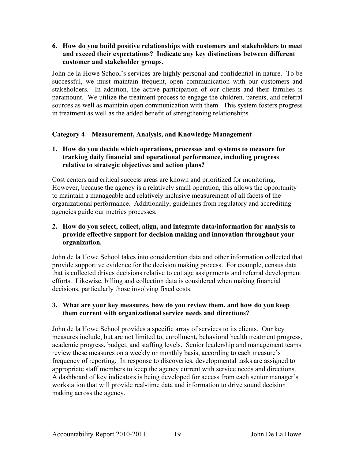#### **6. How do you build positive relationships with customers and stakeholders to meet and exceed their expectations? Indicate any key distinctions between different customer and stakeholder groups.**

John de la Howe School's services are highly personal and confidential in nature. To be successful, we must maintain frequent, open communication with our customers and stakeholders. In addition, the active participation of our clients and their families is paramount. We utilize the treatment process to engage the children, parents, and referral sources as well as maintain open communication with them. This system fosters progress in treatment as well as the added benefit of strengthening relationships.

#### **Category 4 – Measurement, Analysis, and Knowledge Management**

#### **1. How do you decide which operations, processes and systems to measure for tracking daily financial and operational performance, including progress relative to strategic objectives and action plans?**

Cost centers and critical success areas are known and prioritized for monitoring. However, because the agency is a relatively small operation, this allows the opportunity to maintain a manageable and relatively inclusive measurement of all facets of the organizational performance. Additionally, guidelines from regulatory and accrediting agencies guide our metrics processes.

#### **2. How do you select, collect, align, and integrate data/information for analysis to provide effective support for decision making and innovation throughout your organization.**

John de la Howe School takes into consideration data and other information collected that provide supportive evidence for the decision making process. For example, census data that is collected drives decisions relative to cottage assignments and referral development efforts. Likewise, billing and collection data is considered when making financial decisions, particularly those involving fixed costs.

#### **3. What are your key measures, how do you review them, and how do you keep them current with organizational service needs and directions?**

John de la Howe School provides a specific array of services to its clients. Our key measures include, but are not limited to, enrollment, behavioral health treatment progress, academic progress, budget, and staffing levels. Senior leadership and management teams review these measures on a weekly or monthly basis, according to each measure's frequency of reporting. In response to discoveries, developmental tasks are assigned to appropriate staff members to keep the agency current with service needs and directions. A dashboard of key indicators is being developed for access from each senior manager's workstation that will provide real-time data and information to drive sound decision making across the agency.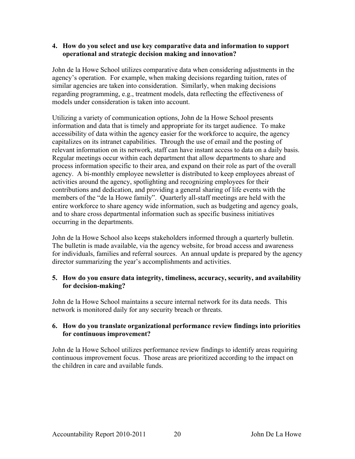#### **4. How do you select and use key comparative data and information to support operational and strategic decision making and innovation?**

John de la Howe School utilizes comparative data when considering adjustments in the agency's operation. For example, when making decisions regarding tuition, rates of similar agencies are taken into consideration. Similarly, when making decisions regarding programming, e.g., treatment models, data reflecting the effectiveness of models under consideration is taken into account.

Utilizing a variety of communication options, John de la Howe School presents information and data that is timely and appropriate for its target audience. To make accessibility of data within the agency easier for the workforce to acquire, the agency capitalizes on its intranet capabilities. Through the use of email and the posting of relevant information on its network, staff can have instant access to data on a daily basis. Regular meetings occur within each department that allow departments to share and process information specific to their area, and expand on their role as part of the overall agency. A bi-monthly employee newsletter is distributed to keep employees abreast of activities around the agency, spotlighting and recognizing employees for their contributions and dedication, and providing a general sharing of life events with the members of the "de la Howe family". Quarterly all-staff meetings are held with the entire workforce to share agency wide information, such as budgeting and agency goals, and to share cross departmental information such as specific business initiatives occurring in the departments.

John de la Howe School also keeps stakeholders informed through a quarterly bulletin. The bulletin is made available, via the agency website, for broad access and awareness for individuals, families and referral sources. An annual update is prepared by the agency director summarizing the year's accomplishments and activities.

#### **5. How do you ensure data integrity, timeliness, accuracy, security, and availability for decision-making?**

John de la Howe School maintains a secure internal network for its data needs. This network is monitored daily for any security breach or threats.

#### **6. How do you translate organizational performance review findings into priorities for continuous improvement?**

John de la Howe School utilizes performance review findings to identify areas requiring continuous improvement focus. Those areas are prioritized according to the impact on the children in care and available funds.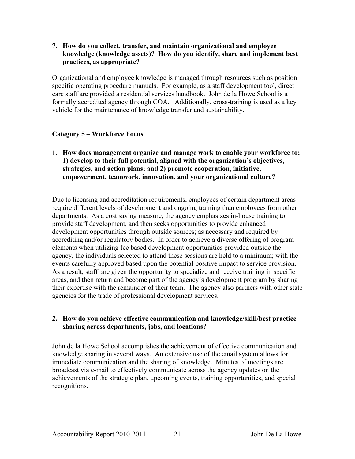**7. How do you collect, transfer, and maintain organizational and employee knowledge (knowledge assets)? How do you identify, share and implement best practices, as appropriate?** 

Organizational and employee knowledge is managed through resources such as position specific operating procedure manuals. For example, as a staff development tool, direct care staff are provided a residential services handbook. John de la Howe School is a formally accredited agency through COA. Additionally, cross-training is used as a key vehicle for the maintenance of knowledge transfer and sustainability.

#### **Category 5 – Workforce Focus**

**1. How does management organize and manage work to enable your workforce to: 1) develop to their full potential, aligned with the organization's objectives, strategies, and action plans; and 2) promote cooperation, initiative, empowerment, teamwork, innovation, and your organizational culture?** 

Due to licensing and accreditation requirements, employees of certain department areas require different levels of development and ongoing training than employees from other departments. As a cost saving measure, the agency emphasizes in-house training to provide staff development, and then seeks opportunities to provide enhanced development opportunities through outside sources; as necessary and required by accrediting and/or regulatory bodies. In order to achieve a diverse offering of program elements when utilizing fee based development opportunities provided outside the agency, the individuals selected to attend these sessions are held to a minimum; with the events carefully approved based upon the potential positive impact to service provision. As a result, staff are given the opportunity to specialize and receive training in specific areas, and then return and become part of the agency's development program by sharing their expertise with the remainder of their team. The agency also partners with other state agencies for the trade of professional development services.

#### **2. How do you achieve effective communication and knowledge/skill/best practice sharing across departments, jobs, and locations?**

John de la Howe School accomplishes the achievement of effective communication and knowledge sharing in several ways. An extensive use of the email system allows for immediate communication and the sharing of knowledge. Minutes of meetings are broadcast via e-mail to effectively communicate across the agency updates on the achievements of the strategic plan, upcoming events, training opportunities, and special recognitions.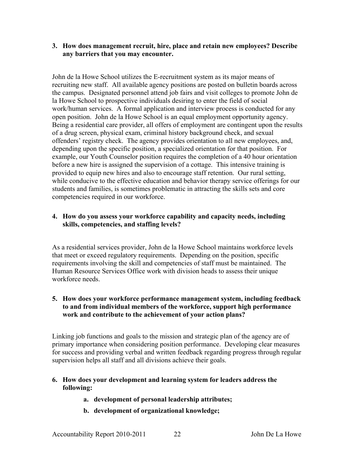#### **3. How does management recruit, hire, place and retain new employees? Describe any barriers that you may encounter.**

John de la Howe School utilizes the E-recruitment system as its major means of recruiting new staff. All available agency positions are posted on bulletin boards across the campus. Designated personnel attend job fairs and visit colleges to promote John de la Howe School to prospective individuals desiring to enter the field of social work/human services. A formal application and interview process is conducted for any open position. John de la Howe School is an equal employment opportunity agency. Being a residential care provider, all offers of employment are contingent upon the results of a drug screen, physical exam, criminal history background check, and sexual offenders' registry check. The agency provides orientation to all new employees, and, depending upon the specific position, a specialized orientation for that position. For example, our Youth Counselor position requires the completion of a 40 hour orientation before a new hire is assigned the supervision of a cottage. This intensive training is provided to equip new hires and also to encourage staff retention. Our rural setting, while conducive to the effective education and behavior therapy service offerings for our students and families, is sometimes problematic in attracting the skills sets and core competencies required in our workforce.

#### **4. How do you assess your workforce capability and capacity needs, including skills, competencies, and staffing levels?**

As a residential services provider, John de la Howe School maintains workforce levels that meet or exceed regulatory requirements. Depending on the position, specific requirements involving the skill and competencies of staff must be maintained. The Human Resource Services Office work with division heads to assess their unique workforce needs.

#### **5. How does your workforce performance management system, including feedback to and from individual members of the workforce, support high performance work and contribute to the achievement of your action plans?**

Linking job functions and goals to the mission and strategic plan of the agency are of primary importance when considering position performance. Developing clear measures for success and providing verbal and written feedback regarding progress through regular supervision helps all staff and all divisions achieve their goals.

#### **6. How does your development and learning system for leaders address the following:**

- **a. development of personal leadership attributes;**
- **b. development of organizational knowledge;**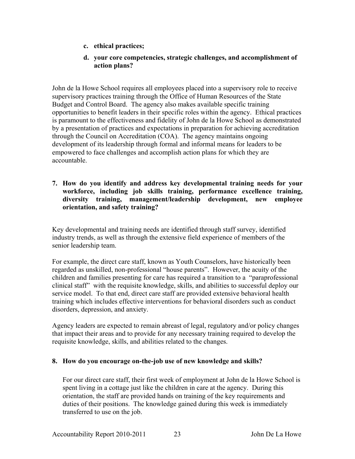- **c. ethical practices;**
- **d. your core competencies, strategic challenges, and accomplishment of action plans?**

John de la Howe School requires all employees placed into a supervisory role to receive supervisory practices training through the Office of Human Resources of the State Budget and Control Board. The agency also makes available specific training opportunities to benefit leaders in their specific roles within the agency. Ethical practices is paramount to the effectiveness and fidelity of John de la Howe School as demonstrated by a presentation of practices and expectations in preparation for achieving accreditation through the Council on Accreditation (COA). The agency maintains ongoing development of its leadership through formal and informal means for leaders to be empowered to face challenges and accomplish action plans for which they are accountable.

**7. How do you identify and address key developmental training needs for your workforce, including job skills training, performance excellence training, diversity training, management/leadership development, new employee orientation, and safety training?** 

Key developmental and training needs are identified through staff survey, identified industry trends, as well as through the extensive field experience of members of the senior leadership team.

For example, the direct care staff, known as Youth Counselors, have historically been regarded as unskilled, non-professional "house parents". However, the acuity of the children and families presenting for care has required a transition to a "paraprofessional clinical staff" with the requisite knowledge, skills, and abilities to successful deploy our service model. To that end, direct care staff are provided extensive behavioral health training which includes effective interventions for behavioral disorders such as conduct disorders, depression, and anxiety.

Agency leaders are expected to remain abreast of legal, regulatory and/or policy changes that impact their areas and to provide for any necessary training required to develop the requisite knowledge, skills, and abilities related to the changes.

#### **8. How do you encourage on-the-job use of new knowledge and skills?**

For our direct care staff, their first week of employment at John de la Howe School is spent living in a cottage just like the children in care at the agency. During this orientation, the staff are provided hands on training of the key requirements and duties of their positions. The knowledge gained during this week is immediately transferred to use on the job.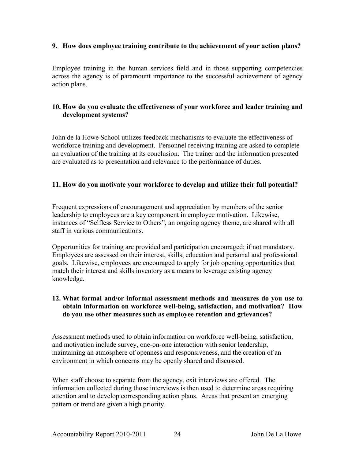#### **9. How does employee training contribute to the achievement of your action plans?**

Employee training in the human services field and in those supporting competencies across the agency is of paramount importance to the successful achievement of agency action plans.

#### **10. How do you evaluate the effectiveness of your workforce and leader training and development systems?**

John de la Howe School utilizes feedback mechanisms to evaluate the effectiveness of workforce training and development. Personnel receiving training are asked to complete an evaluation of the training at its conclusion. The trainer and the information presented are evaluated as to presentation and relevance to the performance of duties.

#### **11. How do you motivate your workforce to develop and utilize their full potential?**

Frequent expressions of encouragement and appreciation by members of the senior leadership to employees are a key component in employee motivation. Likewise, instances of "Selfless Service to Others", an ongoing agency theme, are shared with all staff in various communications.

Opportunities for training are provided and participation encouraged; if not mandatory. Employees are assessed on their interest, skills, education and personal and professional goals. Likewise, employees are encouraged to apply for job opening opportunities that match their interest and skills inventory as a means to leverage existing agency knowledge.

#### **12. What formal and/or informal assessment methods and measures do you use to obtain information on workforce well-being, satisfaction, and motivation? How do you use other measures such as employee retention and grievances?**

Assessment methods used to obtain information on workforce well-being, satisfaction, and motivation include survey, one-on-one interaction with senior leadership, maintaining an atmosphere of openness and responsiveness, and the creation of an environment in which concerns may be openly shared and discussed.

When staff choose to separate from the agency, exit interviews are offered. The information collected during those interviews is then used to determine areas requiring attention and to develop corresponding action plans. Areas that present an emerging pattern or trend are given a high priority.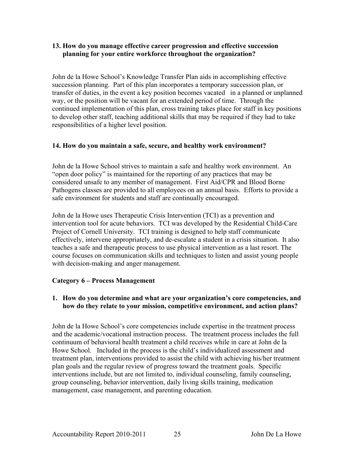#### **13. How do you manage effective career progression and effective succession planning for your entire workforce throughout the organization?**

John de la Howe School's Knowledge Transfer Plan aids in accomplishing effective succession planning. Part of this plan incorporates a temporary succession plan, or transfer of duties, in the event a key position becomes vacated in a planned or unplanned way, or the position will be vacant for an extended period of time. Through the continued implementation of this plan, cross training takes place for staff in key positions to develop other staff, teaching additional skills that may be required if they had to take responsibilities of a higher level position.

#### **14. How do you maintain a safe, secure, and healthy work environment?**

John de la Howe School strives to maintain a safe and healthy work environment. An "open door policy" is maintained for the reporting of any practices that may be considered unsafe to any member of management. First Aid/CPR and Blood Borne Pathogens classes are provided to all employees on an annual basis. Efforts to provide a safe environment for students and staff are continually encouraged.

John de la Howe uses Therapeutic Crisis Intervention (TCI) as a prevention and intervention tool for acute behaviors. TCI was developed by the Residential Child-Care Project of Cornell University. TCI training is designed to help staff communicate effectively, intervene appropriately, and de-escalate a student in a crisis situation. It also teaches a safe and therapeutic process to use physical intervention as a last resort. The course focuses on communication skills and techniques to listen and assist young people with decision-making and anger management.

#### **Category 6 – Process Management**

#### **1. How do you determine and what are your organization's core competencies, and how do they relate to your mission, competitive environment, and action plans?**

John de la Howe School's core competencies include expertise in the treatment process and the academic/vocational instruction process. The treatment process includes the full continuum of behavioral health treatment a child receives while in care at John de la Howe School. Included in the process is the child's individualized assessment and treatment plan, interventions provided to assist the child with achieving his/her treatment plan goals and the regular review of progress toward the treatment goals. Specific interventions include, but are not limited to, individual counseling, family counseling, group counseling, behavior intervention, daily living skills training, medication management, case management, and parenting education.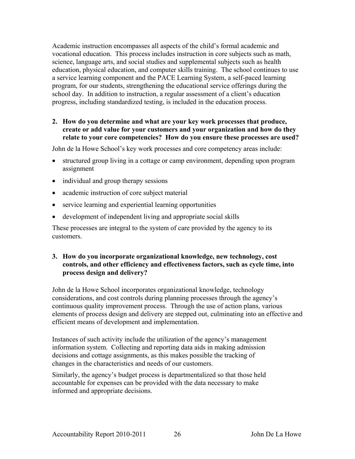Academic instruction encompasses all aspects of the child's formal academic and vocational education. This process includes instruction in core subjects such as math, science, language arts, and social studies and supplemental subjects such as health education, physical education, and computer skills training. The school continues to use a service learning component and the PACE Learning System, a self-paced learning program, for our students, strengthening the educational service offerings during the school day. In addition to instruction, a regular assessment of a client's education progress, including standardized testing, is included in the education process.

#### **2. How do you determine and what are your key work processes that produce, create or add value for your customers and your organization and how do they relate to your core competencies? How do you ensure these processes are used?**

John de la Howe School's key work processes and core competency areas include:

- structured group living in a cottage or camp environment, depending upon program assignment
- individual and group therapy sessions
- academic instruction of core subject material
- service learning and experiential learning opportunities
- development of independent living and appropriate social skills

These processes are integral to the system of care provided by the agency to its customers.

#### **3. How do you incorporate organizational knowledge, new technology, cost controls, and other efficiency and effectiveness factors, such as cycle time, into process design and delivery?**

John de la Howe School incorporates organizational knowledge, technology considerations, and cost controls during planning processes through the agency's continuous quality improvement process. Through the use of action plans, various elements of process design and delivery are stepped out, culminating into an effective and efficient means of development and implementation.

Instances of such activity include the utilization of the agency's management information system. Collecting and reporting data aids in making admission decisions and cottage assignments, as this makes possible the tracking of changes in the characteristics and needs of our customers.

Similarly, the agency's budget process is departmentalized so that those held accountable for expenses can be provided with the data necessary to make informed and appropriate decisions.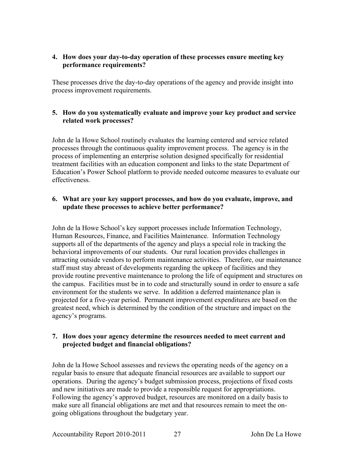#### **4. How does your day-to-day operation of these processes ensure meeting key performance requirements?**

These processes drive the day-to-day operations of the agency and provide insight into process improvement requirements.

#### **5. How do you systematically evaluate and improve your key product and service related work processes?**

John de la Howe School routinely evaluates the learning centered and service related processes through the continuous quality improvement process. The agency is in the process of implementing an enterprise solution designed specifically for residential treatment facilities with an education component and links to the state Department of Education's Power School platform to provide needed outcome measures to evaluate our effectiveness.

#### **6. What are your key support processes, and how do you evaluate, improve, and update these processes to achieve better performance?**

John de la Howe School's key support processes include Information Technology, Human Resources, Finance, and Facilities Maintenance. Information Technology supports all of the departments of the agency and plays a special role in tracking the behavioral improvements of our students. Our rural location provides challenges in attracting outside vendors to perform maintenance activities. Therefore, our maintenance staff must stay abreast of developments regarding the upkeep of facilities and they provide routine preventive maintenance to prolong the life of equipment and structures on the campus. Facilities must be in to code and structurally sound in order to ensure a safe environment for the students we serve. In addition a deferred maintenance plan is projected for a five-year period. Permanent improvement expenditures are based on the greatest need, which is determined by the condition of the structure and impact on the agency's programs.

#### **7. How does your agency determine the resources needed to meet current and projected budget and financial obligations?**

John de la Howe School assesses and reviews the operating needs of the agency on a regular basis to ensure that adequate financial resources are available to support our operations. During the agency's budget submission process, projections of fixed costs and new initiatives are made to provide a responsible request for appropriations. Following the agency's approved budget, resources are monitored on a daily basis to make sure all financial obligations are met and that resources remain to meet the ongoing obligations throughout the budgetary year.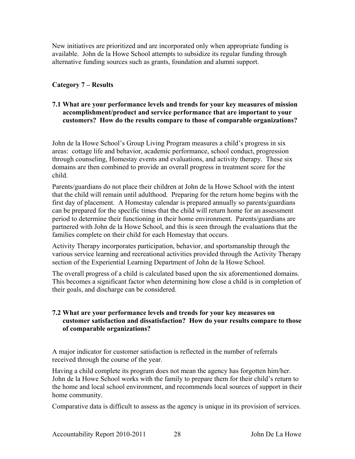New initiatives are prioritized and are incorporated only when appropriate funding is available. John de la Howe School attempts to subsidize its regular funding through alternative funding sources such as grants, foundation and alumni support.

#### **Category 7 – Results**

#### **7.1 What are your performance levels and trends for your key measures of mission accomplishment/product and service performance that are important to your customers? How do the results compare to those of comparable organizations?**

John de la Howe School's Group Living Program measures a child's progress in six areas: cottage life and behavior, academic performance, school conduct, progression through counseling, Homestay events and evaluations, and activity therapy. These six domains are then combined to provide an overall progress in treatment score for the child.

Parents/guardians do not place their children at John de la Howe School with the intent that the child will remain until adulthood. Preparing for the return home begins with the first day of placement. A Homestay calendar is prepared annually so parents/guardians can be prepared for the specific times that the child will return home for an assessment period to determine their functioning in their home environment. Parents/guardians are partnered with John de la Howe School, and this is seen through the evaluations that the families complete on their child for each Homestay that occurs.

Activity Therapy incorporates participation, behavior, and sportsmanship through the various service learning and recreational activities provided through the Activity Therapy section of the Experiential Learning Department of John de la Howe School.

The overall progress of a child is calculated based upon the six aforementioned domains. This becomes a significant factor when determining how close a child is in completion of their goals, and discharge can be considered.

#### **7.2 What are your performance levels and trends for your key measures on customer satisfaction and dissatisfaction? How do your results compare to those of comparable organizations?**

A major indicator for customer satisfaction is reflected in the number of referrals received through the course of the year.

Having a child complete its program does not mean the agency has forgotten him/her. John de la Howe School works with the family to prepare them for their child's return to the home and local school environment, and recommends local sources of support in their home community.

Comparative data is difficult to assess as the agency is unique in its provision of services.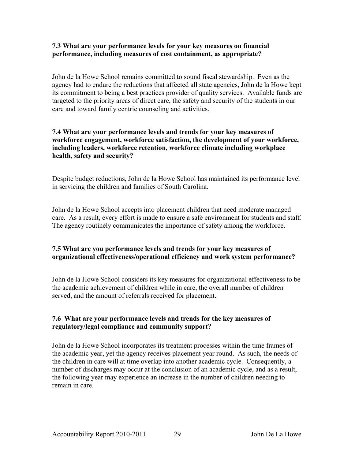#### **7.3 What are your performance levels for your key measures on financial performance, including measures of cost containment, as appropriate?**

John de la Howe School remains committed to sound fiscal stewardship. Even as the agency had to endure the reductions that affected all state agencies, John de la Howe kept its commitment to being a best practices provider of quality services. Available funds are targeted to the priority areas of direct care, the safety and security of the students in our care and toward family centric counseling and activities.

#### **7.4 What are your performance levels and trends for your key measures of workforce engagement, workforce satisfaction, the development of your workforce, including leaders, workforce retention, workforce climate including workplace health, safety and security?**

Despite budget reductions, John de la Howe School has maintained its performance level in servicing the children and families of South Carolina.

John de la Howe School accepts into placement children that need moderate managed care. As a result, every effort is made to ensure a safe environment for students and staff. The agency routinely communicates the importance of safety among the workforce.

#### **7.5 What are you performance levels and trends for your key measures of organizational effectiveness/operational efficiency and work system performance?**

John de la Howe School considers its key measures for organizational effectiveness to be the academic achievement of children while in care, the overall number of children served, and the amount of referrals received for placement.

#### **7.6 What are your performance levels and trends for the key measures of regulatory/legal compliance and community support?**

John de la Howe School incorporates its treatment processes within the time frames of the academic year, yet the agency receives placement year round. As such, the needs of the children in care will at time overlap into another academic cycle. Consequently, a number of discharges may occur at the conclusion of an academic cycle, and as a result, the following year may experience an increase in the number of children needing to remain in care.